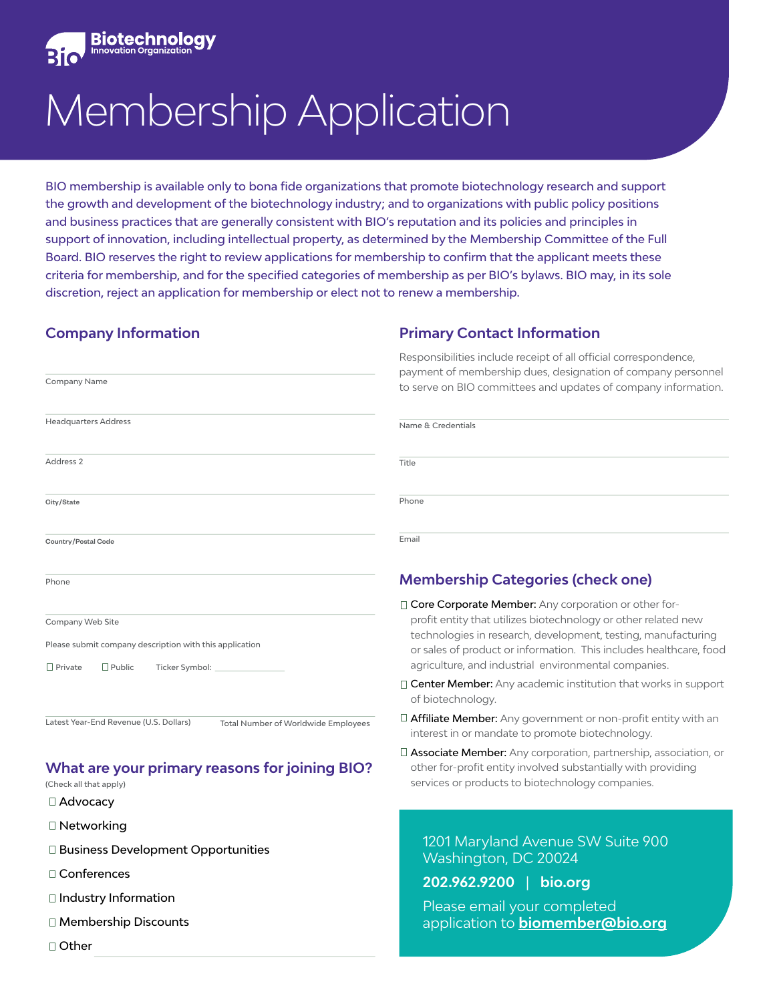

# Membership Application

BIO membership is available only to bona fide organizations that promote biotechnology research and support the growth and development of the biotechnology industry; and to organizations with public policy positions and business practices that are generally consistent with BIO's reputation and its policies and principles in support of innovation, including intellectual property, as determined by the Membership Committee of the Full Board. BIO reserves the right to review applications for membership to confirm that the applicant meets these criteria for membership, and for the specified categories of membership as per BIO's bylaws. BIO may, in its sole discretion, reject an application for membership or elect not to renew a membership.

#### **Company Information**

Company Name

#### **Primary Contact Information**

Please email your completed

application to **[biomember@bio.org](mailto:biomember%40bio.org?subject=New%20BIO%20Member%20Application)**

Responsibilities include receipt of all official correspondence, payment of membership dues, designation of company personnel to serve on BIO committees and updates of company information.

| <b>Headquarters Address</b>                                                                                                      | Name & Credentials                                                                                                                                                                                                                                                                                                      |  |  |
|----------------------------------------------------------------------------------------------------------------------------------|-------------------------------------------------------------------------------------------------------------------------------------------------------------------------------------------------------------------------------------------------------------------------------------------------------------------------|--|--|
| Address 2                                                                                                                        | Title                                                                                                                                                                                                                                                                                                                   |  |  |
| City/State                                                                                                                       | Phone                                                                                                                                                                                                                                                                                                                   |  |  |
| Country/Postal Code                                                                                                              | Email                                                                                                                                                                                                                                                                                                                   |  |  |
| Phone                                                                                                                            | <b>Membership Categories (check one)</b>                                                                                                                                                                                                                                                                                |  |  |
| Company Web Site<br>Please submit company description with this application<br>$\Box$ Private<br>$\Box$ Public<br>Ticker Symbol: | □ Core Corporate Member: Any corporation or other for-<br>profit entity that utilizes biotechnology or other related new<br>technologies in research, development, testing, manufacturing<br>or sales of product or information. This includes healthcare, food<br>agriculture, and industrial environmental companies. |  |  |
|                                                                                                                                  | $\Box$ Center Member: Any academic institution that works in support<br>of biotechnology.                                                                                                                                                                                                                               |  |  |
| Latest Year-End Revenue (U.S. Dollars)<br><b>Total Number of Worldwide Employees</b>                                             | $\Box$ <b>Affiliate Member:</b> Any government or non-profit entity with an<br>interest in or mandate to promote biotechnology.                                                                                                                                                                                         |  |  |
| <b>What are your primary reasons for joining BIO?</b><br>(Check all that apply)                                                  | □ Associate Member: Any corporation, partnership, association, or<br>other for-profit entity involved substantially with providing<br>services or products to biotechnology companies.                                                                                                                                  |  |  |
| $\Box$ Advocacy                                                                                                                  |                                                                                                                                                                                                                                                                                                                         |  |  |
| $\Box$ Networking                                                                                                                |                                                                                                                                                                                                                                                                                                                         |  |  |
| □ Business Development Opportunities                                                                                             | 1201 Maryland Avenue SW Suite 900<br>Washington, DC 20024                                                                                                                                                                                                                                                               |  |  |
| □ Conferences                                                                                                                    | 202.962.9200<br>bio.org                                                                                                                                                                                                                                                                                                 |  |  |

- □ Industry Information
- Membership Discounts
- □ Other